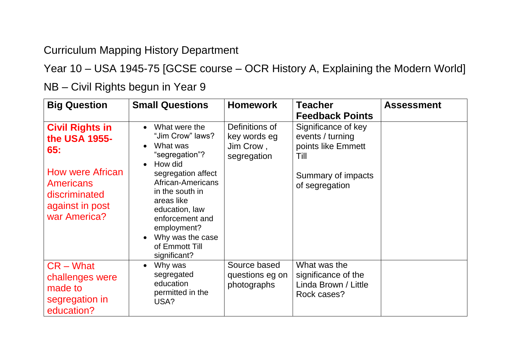Curriculum Mapping History Department

Year 10 – USA 1945-75 [GCSE course – OCR History A, Explaining the Modern World]

**Big Question Small Questions Homework Teacher Feedback Points Assessment Civil Rights in the USA 1955- 65:** How were African Americans discriminated against in post war America? • What were the "Jim Crow" laws? • What was "segregation"? • How did segregation affect African-Americans in the south in areas like education, law enforcement and employment? • Why was the case of Emmott Till significant? Definitions of key words eg Jim Crow , segregation Significance of key events / turning points like Emmett Till Summary of impacts of segregation CR – What challenges were made to segregation in education? • Why was segregated education permitted in the USA? Source based questions eg on photographs What was the significance of the Linda Brown / Little Rock cases?

NB – Civil Rights begun in Year 9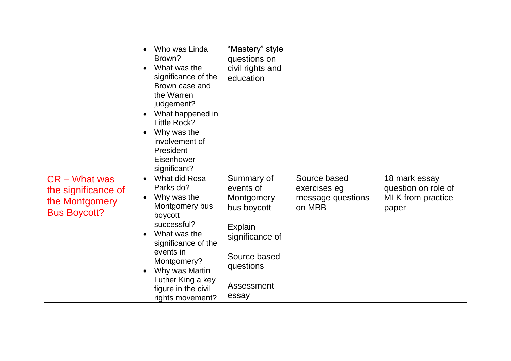|                                                                                 | Who was Linda<br>Brown?<br>What was the<br>significance of the<br>Brown case and<br>the Warren<br>judgement?<br>What happened in<br>Little Rock?<br>Why was the<br>involvement of<br>President<br>Eisenhower<br>significant?               | "Mastery" style<br>questions on<br>civil rights and<br>education                                                                              |                                                             |                                                                           |
|---------------------------------------------------------------------------------|--------------------------------------------------------------------------------------------------------------------------------------------------------------------------------------------------------------------------------------------|-----------------------------------------------------------------------------------------------------------------------------------------------|-------------------------------------------------------------|---------------------------------------------------------------------------|
| $CR - What was$<br>the significance of<br>the Montgomery<br><b>Bus Boycott?</b> | What did Rosa<br>Parks do?<br>Why was the<br>Montgomery bus<br>boycott<br>successful?<br>What was the<br>significance of the<br>events in<br>Montgomery?<br>Why was Martin<br>Luther King a key<br>figure in the civil<br>rights movement? | Summary of<br>events of<br>Montgomery<br>bus boycott<br><b>Explain</b><br>significance of<br>Source based<br>questions<br>Assessment<br>essay | Source based<br>exercises eg<br>message questions<br>on MBB | 18 mark essay<br>question on role of<br><b>MLK</b> from practice<br>paper |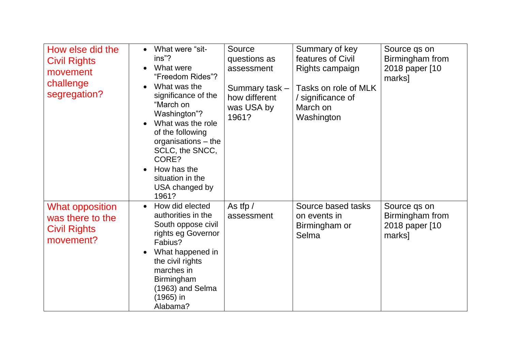| How else did the<br><b>Civil Rights</b><br>movement<br>challenge<br>segregation? | What were "sit-<br>ins"?<br>What were<br>"Freedom Rides"?<br>What was the<br>significance of the<br>"March on<br>Washington"?<br>What was the role<br>of the following<br>organisations - the<br>SCLC, the SNCC,<br>CORE?<br>How has the<br>situation in the<br>USA changed by<br>1961? | Source<br>questions as<br>assessment<br>Summary task -<br>how different<br>was USA by<br>1961? | Summary of key<br>features of Civil<br>Rights campaign<br>Tasks on role of MLK<br>/ significance of<br>March on<br>Washington | Source qs on<br>Birmingham from<br>2018 paper [10<br>marks] |
|----------------------------------------------------------------------------------|-----------------------------------------------------------------------------------------------------------------------------------------------------------------------------------------------------------------------------------------------------------------------------------------|------------------------------------------------------------------------------------------------|-------------------------------------------------------------------------------------------------------------------------------|-------------------------------------------------------------|
| <b>What opposition</b><br>was there to the<br><b>Civil Rights</b><br>movement?   | How did elected<br>$\bullet$<br>authorities in the<br>South oppose civil<br>rights eg Governor<br>Fabius?<br>What happened in<br>the civil rights<br>marches in<br>Birmingham<br>$(1963)$ and Selma<br>(1965) in<br>Alabama?                                                            | As tfp /<br>assessment                                                                         | Source based tasks<br>on events in<br>Birmingham or<br>Selma                                                                  | Source qs on<br>Birmingham from<br>2018 paper [10<br>marks] |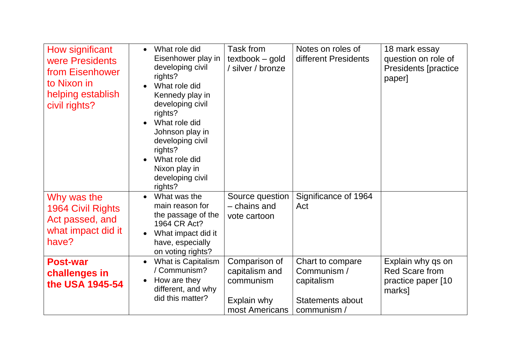| How significant<br>were Presidents<br>from Eisenhower<br>to Nixon in<br>helping establish<br>civil rights? | What role did<br>$\bullet$<br>Eisenhower play in<br>developing civil<br>rights?<br>What role did<br>Kennedy play in<br>developing civil<br>rights?<br>What role did<br>Johnson play in<br>developing civil<br>rights?<br>What role did<br>Nixon play in<br>developing civil<br>rights? | Task from<br>$textbook - gold$<br>/ silver / bronze                           | Notes on roles of<br>different Presidents                                               | 18 mark essay<br>question on role of<br><b>Presidents [practice</b><br>paper] |
|------------------------------------------------------------------------------------------------------------|----------------------------------------------------------------------------------------------------------------------------------------------------------------------------------------------------------------------------------------------------------------------------------------|-------------------------------------------------------------------------------|-----------------------------------------------------------------------------------------|-------------------------------------------------------------------------------|
| Why was the<br>1964 Civil Rights<br>Act passed, and<br>what impact did it<br>have?                         | What was the<br>main reason for<br>the passage of the<br>1964 CR Act?<br>What impact did it<br>have, especially<br>on voting rights?                                                                                                                                                   | Source question<br>- chains and<br>vote cartoon                               | Significance of 1964<br>Act                                                             |                                                                               |
| <b>Post-war</b><br>challenges in<br>the USA 1945-54                                                        | What is Capitalism<br>/ Communism?<br>How are they<br>different, and why<br>did this matter?                                                                                                                                                                                           | Comparison of<br>capitalism and<br>communism<br>Explain why<br>most Americans | Chart to compare<br>Communism /<br>capitalism<br><b>Statements about</b><br>communism / | Explain why qs on<br>Red Scare from<br>practice paper [10<br>marks]           |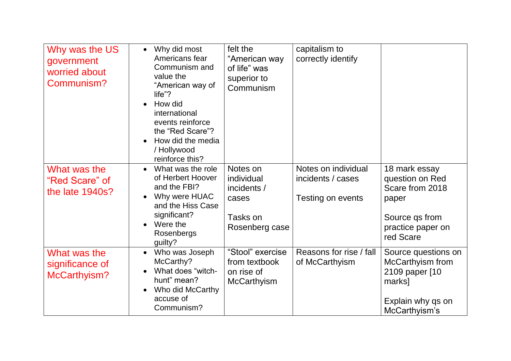| Why was the US<br>government<br>worried about<br>Communism? | Why did most<br>$\bullet$<br>Americans fear<br>Communism and<br>value the<br>"American way of<br>life"?<br>How did<br>international<br>events reinforce<br>the "Red Scare"?<br>How did the media<br>/ Hollywood<br>reinforce this? | felt the<br>"American way<br>of life" was<br>superior to<br>Communism        | capitalism to<br>correctly identify                           |                                                                                                                  |
|-------------------------------------------------------------|------------------------------------------------------------------------------------------------------------------------------------------------------------------------------------------------------------------------------------|------------------------------------------------------------------------------|---------------------------------------------------------------|------------------------------------------------------------------------------------------------------------------|
| What was the<br>"Red Scare" of<br>the late 1940s?           | What was the role<br>$\bullet$<br>of Herbert Hoover<br>and the FBI?<br>Why were HUAC<br>and the Hiss Case<br>significant?<br>Were the<br>Rosenbergs<br>guilty?                                                                     | Notes on<br>individual<br>incidents /<br>cases<br>Tasks on<br>Rosenberg case | Notes on individual<br>incidents / cases<br>Testing on events | 18 mark essay<br>question on Red<br>Scare from 2018<br>paper<br>Source qs from<br>practice paper on<br>red Scare |
| What was the<br>significance of<br>McCarthyism?             | Who was Joseph<br>$\bullet$<br>McCarthy?<br>What does "witch-<br>hunt" mean?<br>Who did McCarthy<br>accuse of<br>Communism?                                                                                                        | "Stool" exercise<br>from textbook<br>on rise of<br><b>McCarthyism</b>        | Reasons for rise / fall<br>of McCarthyism                     | Source questions on<br>McCarthyism from<br>2109 paper [10<br>marks]<br>Explain why qs on<br>McCarthyism's        |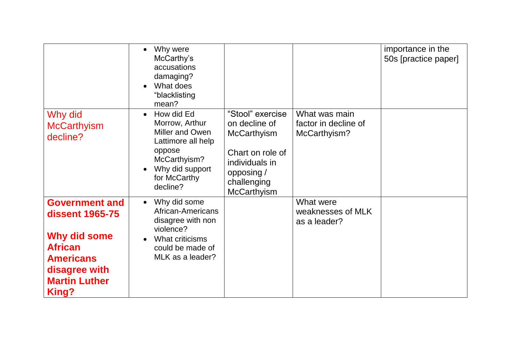|                                                                                                                                                         | Why were<br>McCarthy's<br>accusations<br>damaging?<br>What does<br>"blacklisting<br>mean?                                                                   |                                                                                                                                                  |                                                       | importance in the<br>50s [practice paper] |
|---------------------------------------------------------------------------------------------------------------------------------------------------------|-------------------------------------------------------------------------------------------------------------------------------------------------------------|--------------------------------------------------------------------------------------------------------------------------------------------------|-------------------------------------------------------|-------------------------------------------|
| Why did<br><b>McCarthyism</b><br>decline?                                                                                                               | How did Ed<br>$\bullet$<br>Morrow, Arthur<br>Miller and Owen<br>Lattimore all help<br>oppose<br>McCarthyism?<br>Why did support<br>for McCarthy<br>decline? | "Stool" exercise<br>on decline of<br><b>McCarthyism</b><br>Chart on role of<br>individuals in<br>opposing /<br>challenging<br><b>McCarthyism</b> | What was main<br>factor in decline of<br>McCarthyism? |                                           |
| <b>Government and</b><br><b>dissent 1965-75</b><br>Why did some<br><b>African</b><br><b>Americans</b><br>disagree with<br><b>Martin Luther</b><br>King? | Why did some<br>$\bullet$<br>African-Americans<br>disagree with non<br>violence?<br>What criticisms<br>could be made of<br>MLK as a leader?                 |                                                                                                                                                  | What were<br>weaknesses of MLK<br>as a leader?        |                                           |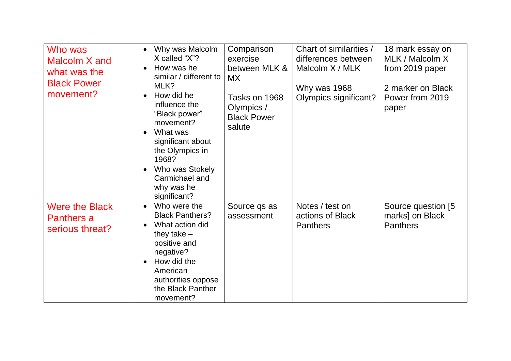| Who was<br>Malcolm X and<br>what was the<br><b>Black Power</b><br>movement? | Why was Malcolm<br>X called "X"?<br>How was he<br>similar / different to<br>MLK?<br>How did he<br>influence the<br>"Black power"<br>movement?<br>What was<br>significant about<br>the Olympics in<br>1968?<br>Who was Stokely<br>Carmichael and<br>why was he<br>significant? | Comparison<br>exercise<br>between MLK &<br>MX.<br>Tasks on 1968<br>Olympics /<br><b>Black Power</b><br>salute | Chart of similarities /<br>differences between<br>Malcolm X / MLK<br>Why was 1968<br>Olympics significant? | 18 mark essay on<br>MLK / Malcolm X<br>from 2019 paper<br>2 marker on Black<br>Power from 2019<br>paper |
|-----------------------------------------------------------------------------|-------------------------------------------------------------------------------------------------------------------------------------------------------------------------------------------------------------------------------------------------------------------------------|---------------------------------------------------------------------------------------------------------------|------------------------------------------------------------------------------------------------------------|---------------------------------------------------------------------------------------------------------|
| <b>Were the Black</b><br>Panthers a<br>serious threat?                      | Who were the<br><b>Black Panthers?</b><br>What action did<br>they take $-$<br>positive and<br>negative?<br>How did the<br>American<br>authorities oppose<br>the Black Panther<br>movement?                                                                                    | Source qs as<br>assessment                                                                                    | Notes / test on<br>actions of Black<br><b>Panthers</b>                                                     | Source question [5]<br>marks] on Black<br><b>Panthers</b>                                               |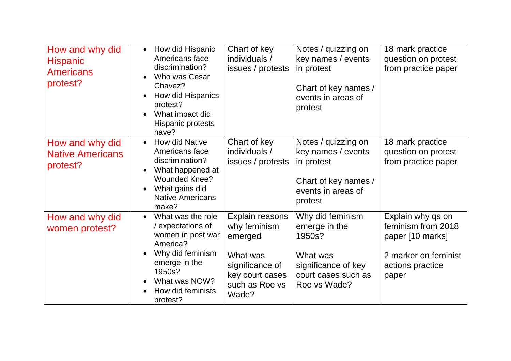| How and why did<br><b>Hispanic</b><br><b>Americans</b><br>protest? | How did Hispanic<br>$\bullet$<br>Americans face<br>discrimination?<br>Who was Cesar<br>Chavez?<br>How did Hispanics<br>protest?<br>What impact did<br>Hispanic protests<br>have?      | Chart of key<br>individuals /<br>issues / protests                                                                      | Notes / quizzing on<br>key names / events<br>in protest<br>Chart of key names /<br>events in areas of<br>protest      | 18 mark practice<br>question on protest<br>from practice paper                                                   |
|--------------------------------------------------------------------|---------------------------------------------------------------------------------------------------------------------------------------------------------------------------------------|-------------------------------------------------------------------------------------------------------------------------|-----------------------------------------------------------------------------------------------------------------------|------------------------------------------------------------------------------------------------------------------|
| How and why did<br><b>Native Americans</b><br>protest?             | How did Native<br>$\bullet$<br>Americans face<br>discrimination?<br>What happened at<br><b>Wounded Knee?</b><br>What gains did<br><b>Native Americans</b><br>make?                    | Chart of key<br>individuals /<br>issues / protests                                                                      | Notes / quizzing on<br>key names / events<br>in protest<br>Chart of key names /<br>events in areas of<br>protest      | 18 mark practice<br>question on protest<br>from practice paper                                                   |
| How and why did<br>women protest?                                  | What was the role<br>$\bullet$<br>/ expectations of<br>women in post war<br>America?<br>Why did feminism<br>emerge in the<br>1950s?<br>What was NOW?<br>How did feminists<br>protest? | Explain reasons<br>why feminism<br>emerged<br>What was<br>significance of<br>key court cases<br>such as Roe vs<br>Wade? | Why did feminism<br>emerge in the<br>1950s?<br>What was<br>significance of key<br>court cases such as<br>Roe vs Wade? | Explain why qs on<br>feminism from 2018<br>paper [10 marks]<br>2 marker on feminist<br>actions practice<br>paper |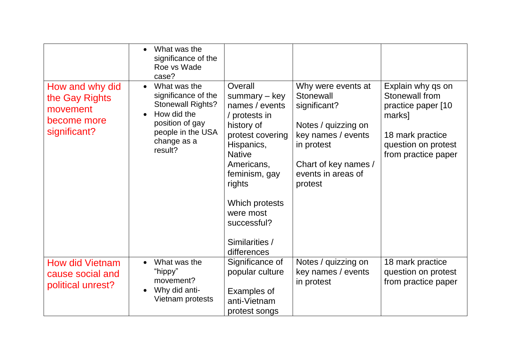|                                                                              | What was the<br>significance of the<br>Roe vs Wade<br>case?                                                                                                   |                                                                                                                                                                                                                                                        |                                                                                                                                                                     |                                                                                                                                       |
|------------------------------------------------------------------------------|---------------------------------------------------------------------------------------------------------------------------------------------------------------|--------------------------------------------------------------------------------------------------------------------------------------------------------------------------------------------------------------------------------------------------------|---------------------------------------------------------------------------------------------------------------------------------------------------------------------|---------------------------------------------------------------------------------------------------------------------------------------|
| How and why did<br>the Gay Rights<br>movement<br>become more<br>significant? | What was the<br>$\bullet$<br>significance of the<br><b>Stonewall Rights?</b><br>How did the<br>position of gay<br>people in the USA<br>change as a<br>result? | Overall<br>summary $-$ key<br>names / events<br>/ protests in<br>history of<br>protest covering<br>Hispanics,<br><b>Native</b><br>Americans,<br>feminism, gay<br>rights<br>Which protests<br>were most<br>successful?<br>Similarities /<br>differences | Why were events at<br>Stonewall<br>significant?<br>Notes / quizzing on<br>key names / events<br>in protest<br>Chart of key names /<br>events in areas of<br>protest | Explain why qs on<br>Stonewall from<br>practice paper [10<br>marks]<br>18 mark practice<br>question on protest<br>from practice paper |
| <b>How did Vietnam</b><br>cause social and<br>political unrest?              | What was the<br>"hippy"<br>movement?<br>Why did anti-<br>Vietnam protests                                                                                     | Significance of<br>popular culture<br>Examples of<br>anti-Vietnam<br>protest songs                                                                                                                                                                     | Notes / quizzing on<br>key names / events<br>in protest                                                                                                             | 18 mark practice<br>question on protest<br>from practice paper                                                                        |